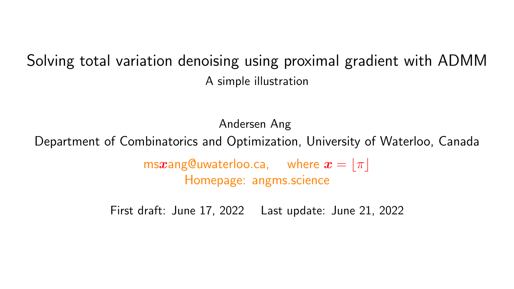#### Solving total variation denoising using proximal gradient with ADMM A simple illustration

Andersen Ang

Department of Combinatorics and Optimization, University of Waterloo, Canada

ms $x$ ang@uwaterloo.ca, where  $x = |\pi|$ Homepage: angms.science

First draft: June 17, 2022 Last update: June 21, 2022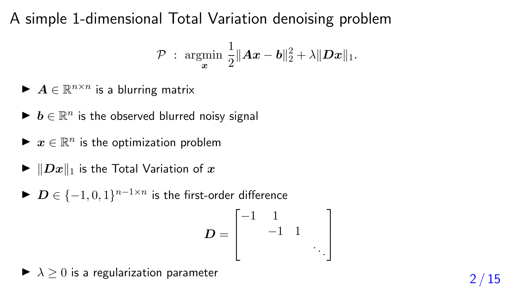A simple 1-dimensional Total Variation denoising problem

$$
\mathcal{P} \; : \; \underset{\boldsymbol{x}}{\text{argmin}} \; \frac{1}{2} \|\boldsymbol{A}\boldsymbol{x} - \boldsymbol{b}\|_2^2 + \lambda \|\boldsymbol{D}\boldsymbol{x}\|_1.
$$

- $\blacktriangleright$   $A \in \mathbb{R}^{n \times n}$  is a blurring matrix
- $\blacktriangleright$   $\bm{b} \in \mathbb{R}^n$  is the observed blurred noisy signal
- $\blacktriangleright \ x \in \mathbb{R}^n$  is the optimization problem
- $\blacktriangleright$   $||Dx||_1$  is the Total Variation of x
- ▶  $\boldsymbol{D} \in \{-1,0,1\}^{n-1 \times n}$  is the first-order difference

$$
D = \begin{bmatrix} -1 & 1 & & \\ & -1 & 1 & \\ & & \ddots & \end{bmatrix}
$$

▶  $\lambda \geq 0$  is a regularization parameter  $\lambda \geq 2/15$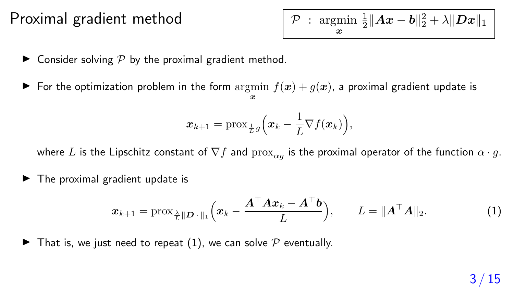#### Proximal gradient method

|  |  | $\mathcal{P}$ : argmin $\frac{1}{2}  Ax-b  _2^2 + \lambda   Dx  _1$ |
|--|--|---------------------------------------------------------------------|
|  |  |                                                                     |

- $\blacktriangleright$  Consider solving  $P$  by the proximal gradient method.
- ▶ For the optimization problem in the form  $\argmin f(x) + g(x)$ , a proximal gradient update is x

$$
\boldsymbol{x}_{k+1} = \text{prox}_{\frac{1}{L}g}\Big(\boldsymbol{x}_k - \frac{1}{L}\nabla f(\boldsymbol{x}_k)\Big),\,
$$

where L is the Lipschitz constant of  $\nabla f$  and  $\text{prox}_{\alpha g}$  is the proximal operator of the function  $\alpha \cdot g$ .

 $\blacktriangleright$  The proximal gradient update is

$$
\boldsymbol{x}_{k+1} = \text{prox}_{\frac{\lambda}{L} \|\boldsymbol{D} \cdot \|_1} \Big( \boldsymbol{x}_k - \frac{\boldsymbol{A}^\top \boldsymbol{A} \boldsymbol{x}_k - \boldsymbol{A}^\top \boldsymbol{b}}{L} \Big), \qquad L = \|\boldsymbol{A}^\top \boldsymbol{A}\|_2. \tag{1}
$$

 $\blacktriangleright$  That is, we just need to repeat (1), we can solve  $\mathcal P$  eventually.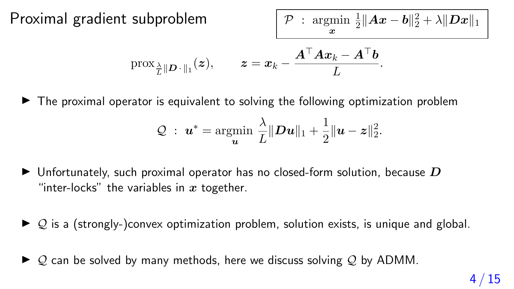Proximal gradient subproblem

$$
\mathcal{P} \; : \; \underset{\boldsymbol{x}}{\text{argmin}} \; \tfrac{1}{2} \|\boldsymbol{A}\boldsymbol{x} - \boldsymbol{b}\|_2^2 + \lambda \|\boldsymbol{D}\boldsymbol{x}\|_1
$$

$$
\text{prox}_{\frac{\lambda}{L}\|\boldsymbol{D}\cdot\|_1}(z), \qquad z = x_k - \frac{\boldsymbol{A}^\top \boldsymbol{A} x_k - \boldsymbol{A}^\top \boldsymbol{b}}{L}.
$$

 $\blacktriangleright$  The proximal operator is equivalent to solving the following optimization problem

$$
\mathcal{Q} \ : \ \boldsymbol{u}^* = \operatornamewithlimits{argmin}_{\boldsymbol{u}} \ \frac{\lambda}{L} \|\boldsymbol{D} \boldsymbol{u}\|_1 + \frac{1}{2} \|\boldsymbol{u} - \boldsymbol{z}\|_2^2.
$$

- $\blacktriangleright$  Unfortunately, such proximal operator has no closed-form solution, because  $D$ "inter-locks" the variables in  $x$  together.
- $\triangleright$  Q is a (strongly-)convex optimization problem, solution exists, is unique and global.
- $\triangleright$  Q can be solved by many methods, here we discuss solving Q by ADMM.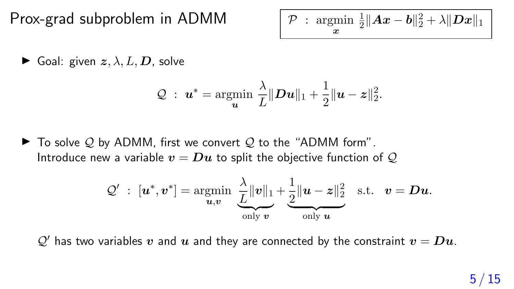Prox-grad subproblem in ADMM

x 1  $\frac{1}{2}\|\boldsymbol{A}\boldsymbol{x}-\boldsymbol{b}\|_2^2+\lambda\|\boldsymbol{D}\boldsymbol{x}\|_1$ 

▶ Goal: given  $z, \lambda, L, D$ , solve

$$
\mathcal{Q} \ : \ \boldsymbol{u}^* = \operatornamewithlimits{argmin}_{\boldsymbol{u}} \ \frac{\lambda}{L} \|\boldsymbol{D}\boldsymbol{u}\|_1 + \frac{1}{2} \|\boldsymbol{u} - \boldsymbol{z}\|_2^2.
$$

 $\blacktriangleright$  To solve Q by ADMM, first we convert Q to the "ADMM form". Introduce new a variable  $v = Du$  to split the objective function of Q

$$
\mathcal{Q}' \; : \; [\boldsymbol{u}^*, \boldsymbol{v}^*] = \operatornamewithlimits{argmin}_{\boldsymbol{u}, \boldsymbol{v}} \; \underbrace{\frac{\lambda}{L} \|\boldsymbol{v}\|_1}_{\text{only } \boldsymbol{v}} + \underbrace{\frac{1}{2} \|\boldsymbol{u} - \boldsymbol{z}\|_2^2}_{\text{only } \boldsymbol{u}} \ \ \, \text{s.t.} \ \ \, \boldsymbol{v} = \boldsymbol{D} \boldsymbol{u}.
$$

 $\mathcal{Q}'$  has two variables v and u and they are connected by the constraint  $v = D u$ .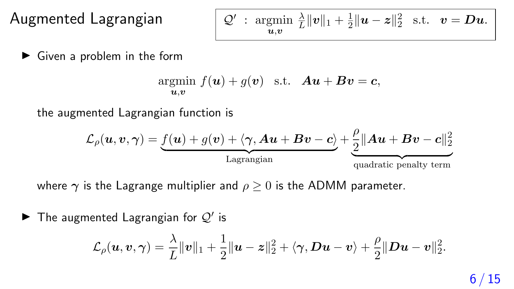Augmented Lagrangian

$$
\mathcal{Q}'\;:\; \underset{\boldsymbol{u,v}}{\text{argmin}}\;\frac{\lambda}{L}\|\boldsymbol{v}\|_1+\frac{1}{2}\|\boldsymbol{u}-\boldsymbol{z}\|_2^2\ \ \, \text{s.t.}\ \ \, \boldsymbol{v}=\boldsymbol{D}\boldsymbol{u}.
$$

 $\blacktriangleright$  Given a problem in the form

$$
\underset{\mathbf{u},\mathbf{v}}{\text{argmin}}\ f(\mathbf{u}) + g(\mathbf{v}) \quad \text{s.t.} \quad \mathbf{A}\mathbf{u} + \mathbf{B}\mathbf{v} = \mathbf{c},
$$

the augmented Lagrangian function is

$$
\mathcal{L}_{\rho}(\boldsymbol{u},\boldsymbol{v},\boldsymbol{\gamma})=\underbrace{f(\boldsymbol{u})+g(\boldsymbol{v})+\langle \boldsymbol{\gamma}, \boldsymbol{A}\boldsymbol{u}+\boldsymbol{B}\boldsymbol{v}-\boldsymbol{c}\rangle}_{\text{Lagrangian}}+\underbrace{\frac{\rho}{2}\|\boldsymbol{A}\boldsymbol{u}+\boldsymbol{B}\boldsymbol{v}-\boldsymbol{c}\|_2^2}_{\text{quadratic penalty term}}
$$

where  $\gamma$  is the Lagrange multiplier and  $\rho > 0$  is the ADMM parameter.

 $\blacktriangleright$  The augmented Lagrangian for  $\mathcal{Q}'$  is

$$
\mathcal{L}_{\rho}(\boldsymbol{u},\boldsymbol{v},\boldsymbol{\gamma})=\frac{\lambda}{L}\|\boldsymbol{v}\|_{1}+\frac{1}{2}\|\boldsymbol{u}-\boldsymbol{z}\|_{2}^{2}+\langle \boldsymbol{\gamma},\boldsymbol{D}\boldsymbol{u}-\boldsymbol{v}\rangle+\frac{\rho}{2}\|\boldsymbol{D}\boldsymbol{u}-\boldsymbol{v}\|_{2}^{2}.
$$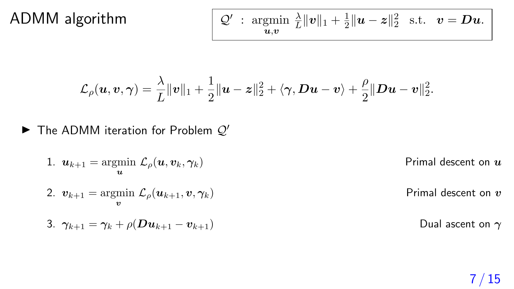#### ADMM algorithm

$$
\mathcal{Q}'\;:\; \underset{\boldsymbol{u,v}}{\text{argmin}}\;\tfrac{\lambda}{L}\|\boldsymbol{v}\|_1+\tfrac{1}{2}\|\boldsymbol{u}-\boldsymbol{z}\|_2^2\ \ \text{s.t.}\ \ \, \boldsymbol{v}=\boldsymbol{D}\boldsymbol{u}.
$$

$$
\mathcal{L}_{\rho}(\boldsymbol{u},\boldsymbol{v},\boldsymbol{\gamma})=\frac{\lambda}{L}\|\boldsymbol{v}\|_1+\frac{1}{2}\|\boldsymbol{u}-\boldsymbol{z}\|_2^2+\langle \boldsymbol{\gamma},\boldsymbol{D}\boldsymbol{u}-\boldsymbol{v}\rangle+\frac{\rho}{2}\|\boldsymbol{D}\boldsymbol{u}-\boldsymbol{v}\|_2^2.
$$

 $\blacktriangleright$  The ADMM iteration for Problem  $Q'$ 

\n- 1. 
$$
u_{k+1} = \operatorname*{argmin}_{u} \mathcal{L}_{\rho}(u, v_k, \gamma_k)
$$
 \n Primal descent on  $u$ 

\n
\n- 2.  $v_{k+1} = \operatorname*{argmin}_{v} \mathcal{L}_{\rho}(u_{k+1}, v, \gamma_k)$  \n Primal descent on  $v$ 

\n
\n- 3.  $\gamma_{k+1} = \gamma_k + \rho(Du_{k+1} - v_{k+1})$  \n Dual ascent on  $\gamma$ 

\n
\n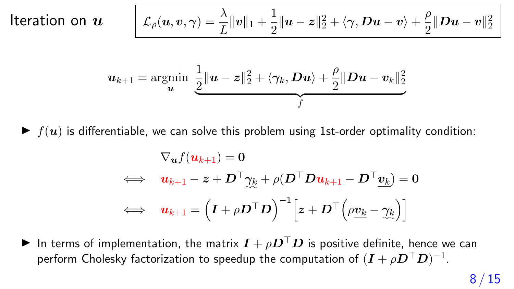# Iteration on  $u$   $\begin{bmatrix} \phantom{\Big|} \end{bmatrix}$

$$
\mathcal{L}_{\rho}(\boldsymbol{u},\boldsymbol{v},\boldsymbol{\gamma})=\frac{\lambda}{L}\|\boldsymbol{v}\|_1+\frac{1}{2}\|\boldsymbol{u}-\boldsymbol{z}\|_2^2+\langle \boldsymbol{\gamma},\boldsymbol{D}\boldsymbol{u}-\boldsymbol{v}\rangle+\frac{\rho}{2}\|\boldsymbol{D}\boldsymbol{u}-\boldsymbol{v}\|_2^2
$$

$$
\boldsymbol{u}_{k+1} = \operatornamewithlimits{argmin}_{\boldsymbol{u}} \ \underbrace{\frac{1}{2} \|\boldsymbol{u} - \boldsymbol{z}\|_2^2 + \langle \gamma_k, \boldsymbol{D}\boldsymbol{u} \rangle + \frac{\rho}{2} \|\boldsymbol{D}\boldsymbol{u} - \boldsymbol{v}_k\|_2^2}_{f}
$$

 $\blacktriangleright$   $f(u)$  is differentiable, we can solve this problem using 1st-order optimality condition:

$$
\begin{aligned}\n\nabla_{\bm u} f(\bm u_{k+1}) &= \bm 0 \\
\iff \quad & \bm u_{k+1} - \bm z + \bm D^\top \bm \gamma_{\! \! k} + \rho (\bm D^\top \bm D \bm u_{k+1} - \bm D^\top \bm \underline v_{k}) = \bm 0 \\
\iff \quad & \bm u_{k+1} = \left( \bm I + \rho \bm D^\top \bm D \right)^{-1} \! \left[ \bm z + \bm D^\top \! \left( \rho \underline{\bm v_k} - \bm \gamma_{\! \! k} \right) \right]\n\end{aligned}
$$

▶ In terms of implementation, the matrix  $I + \rho D^{\top}D$  is positive definite, hence we can perform Cholesky factorization to speedup the computation of  $(\bm{I}+\rho \bm{D}^{\top}\bm{D})^{-1}.$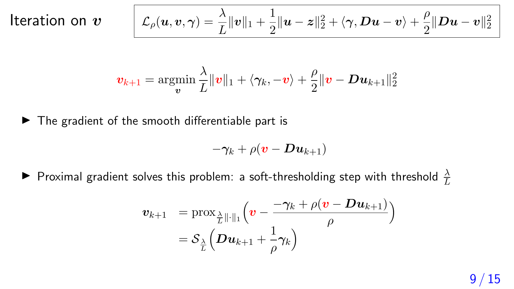# Iteration on  $\boldsymbol{v}$

$$
\mathcal{L}_{\rho}(\boldsymbol{u},\boldsymbol{v},\boldsymbol{\gamma})=\frac{\lambda}{L}\|\boldsymbol{v}\|_{1}+\frac{1}{2}\|\boldsymbol{u}-\boldsymbol{z}\|_{2}^{2}+\langle \boldsymbol{\gamma},\boldsymbol{D}\boldsymbol{u}-\boldsymbol{v}\rangle+\frac{\rho}{2}\|\boldsymbol{D}\boldsymbol{u}-\boldsymbol{v}\|_{2}^{2}
$$

$$
\boldsymbol{v}_{k+1} = \operatorname*{argmin}_{\boldsymbol{v}} \frac{\lambda}{L}\|\boldsymbol{v}\|_1 + \langle \boldsymbol{\gamma}_k, -\boldsymbol{v} \rangle + \frac{\rho}{2}\|\boldsymbol{v} - \boldsymbol{D}\boldsymbol{u}_{k+1}\|_2^2
$$

 $\blacktriangleright$  The gradient of the smooth differentiable part is

$$
-\boldsymbol{\gamma}_{k}+\rho(\boldsymbol{v}-\boldsymbol{D}\boldsymbol{u}_{k+1})
$$

 $\blacktriangleright$  Proximal gradient solves this problem: a soft-thresholding step with threshold  $\frac{\lambda}{L}$ 

$$
\begin{array}{rl} \boldsymbol{v}_{k+1} & =\mathrm{prox}_{\frac{\lambda}{L}\|\cdot\|_1}\Big(\boldsymbol{v}-\frac{-\gamma_k+\rho(\boldsymbol{v}-\boldsymbol{Du}_{k+1})}{\rho}\Big) \\ & =\mathcal{S}_{\frac{\lambda}{L}}\Big(\boldsymbol{Du}_{k+1}+\frac{1}{\rho}\gamma_k\Big) \end{array}
$$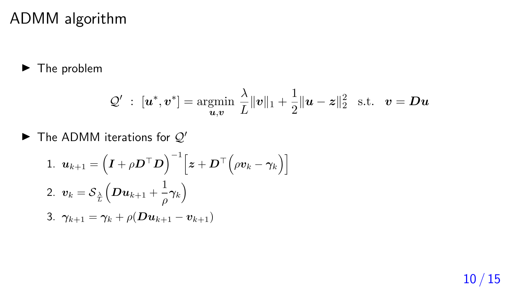#### ADMM algorithm

▶ The problem

$$
\mathcal{Q}' \ : \ [\boldsymbol{u}^*, \boldsymbol{v}^*] = \operatornamewithlimits{argmin}_{\boldsymbol{u}, \boldsymbol{v}} \, \frac{\lambda}{L} \|\boldsymbol{v}\|_1 + \frac{1}{2} \|\boldsymbol{u} - \boldsymbol{z}\|_2^2 \quad \text{s.t.} \quad \boldsymbol{v} = \boldsymbol{D} \boldsymbol{u}
$$

 $\blacktriangleright$  The ADMM iterations for  $\mathcal{Q}'$ 

1. 
$$
\mathbf{u}_{k+1} = \left(\mathbf{I} + \rho \mathbf{D}^{\top} \mathbf{D}\right)^{-1} \left[\mathbf{z} + \mathbf{D}^{\top} \left(\rho \mathbf{v}_{k} - \gamma_{k}\right)\right]
$$
  
2. 
$$
\mathbf{v}_{k} = \mathcal{S}_{\frac{\lambda}{L}} \left(\mathbf{D} \mathbf{u}_{k+1} + \frac{1}{\rho} \gamma_{k}\right)
$$
  
3. 
$$
\gamma_{k+1} = \gamma_{k} + \rho(\mathbf{D} \mathbf{u}_{k+1} - \mathbf{v}_{k+1})
$$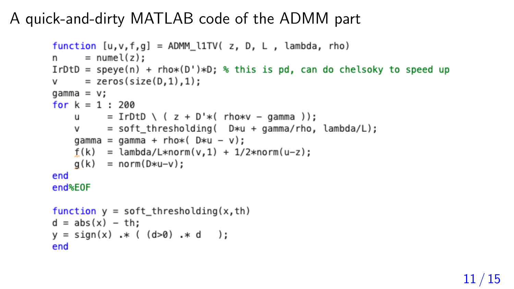# A quick-and-dirty MATLAB code of the ADMM part

```
function [u, v, f, q] = ADMM l1TV( z, D, L, lambda, rho)
      = numel(z);
n \simIrDtD = speye(n) + rho*(D')*D; % this is pd, can do chelsoky to speed up
v = zeros(size(D, 1), 1);\alphaamma = v:
for k = 1 : 200u = IrDtD \setminus (z + D'*hv)*v - \text{gamma}):
          = soft thresholding( D*u + qamma/rho, lambda/L);
    V = 1gamma = qamma + rho * (D * u - v):
    f(k) = lambda/L*norm(v, 1) + 1/2*norm(u-z);
    q(k) = norm(D*u-v);
end
end%E0F
function y = soft thresholding(x, th)d = abs(x) - th;y = sign(x) * ( (d>0) * d );
end
```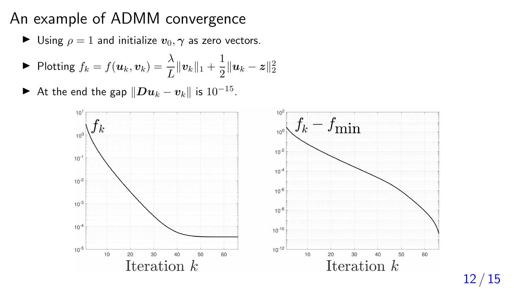### An example of ADMM convergence

 $\blacktriangleright$  Using  $\rho = 1$  and initialize  $v_0, \gamma$  as zero vectors.

► Plotting 
$$
f_k = f(\boldsymbol{u}_k, \boldsymbol{v}_k) = \frac{\lambda}{L} ||\boldsymbol{v}_k||_1 + \frac{1}{2} ||\boldsymbol{u}_k - \boldsymbol{z}||_2^2
$$

▶ At the end the gap  $\Vert \boldsymbol{Du}_k - \boldsymbol{v}_k \Vert$  is  $10^{-15}$ .



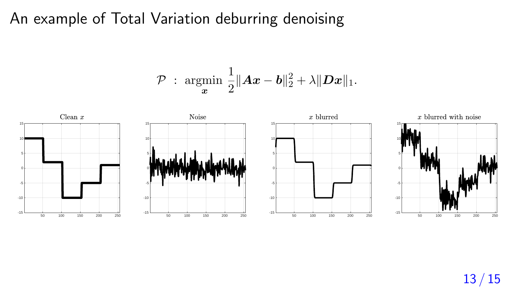### An example of Total Variation deburring denoising

$$
\mathcal{P} \; : \; \underset{\boldsymbol{x}}{\text{argmin}} \; \frac{1}{2} \|\boldsymbol{A}\boldsymbol{x} - \boldsymbol{b}\|_2^2 + \lambda \|\boldsymbol{D}\boldsymbol{x}\|_1.
$$



13 / 15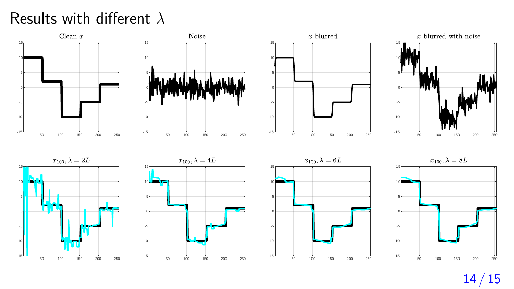# Results with different  $\lambda$



14 / 15